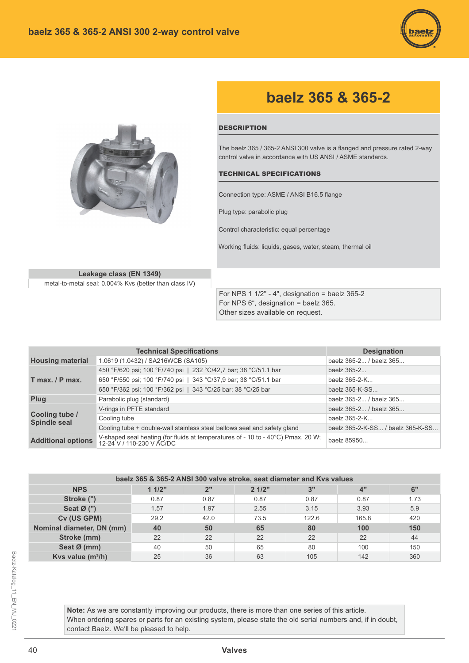



## baelz 365 & 365-2

## **DESCRIPTION**

The baelz 365 / 365-2 ANSI 300 valve is a flanged and pressure rated 2-way control valve in accordance with US ANSI / ASME standards.

## **TECHNICAL SPECIFICATIONS**

Connection type: ASME / ANSI B16.5 flange

Plug type: parabolic plug

Control characteristic: equal percentage

Working fluids: liquids, gases, water, steam, thermal oil

Leakage class (EN 1349) metal-to-metal seal: 0.004% Kvs (better than class IV)

> For NPS 1  $1/2$ " - 4", designation = baelz 365-2 For NPS 6", designation = baelz 365. Other sizes available on request.

|                                       | <b>Technical Specifications</b>                                                                               | <b>Designation</b>                |  |  |  |
|---------------------------------------|---------------------------------------------------------------------------------------------------------------|-----------------------------------|--|--|--|
| <b>Housing material</b>               | 1.0619 (1.0432) / SA216WCB (SA105)                                                                            | baelz 365-2 / baelz 365           |  |  |  |
|                                       | 450 °F/620 psi; 100 °F/740 psi   232 °C/42,7 bar; 38 °C/51.1 bar                                              | baelz 365-2                       |  |  |  |
| $T$ max. $/ P$ max.                   | 650 °F/550 psi; 100 °F/740 psi   343 °C/37,9 bar; 38 °C/51.1 bar                                              | baelz 365-2-K                     |  |  |  |
|                                       | 650 °F/362 psi; 100 °F/362 psi   343 °C/25 bar; 38 °C/25 bar                                                  | baelz 365-K-SS                    |  |  |  |
| Plug                                  | Parabolic plug (standard)                                                                                     | baelz 365-2 / baelz 365           |  |  |  |
|                                       | V-rings in PFTE standard                                                                                      | baelz 365-2 / baelz 365           |  |  |  |
| Cooling tube /<br><b>Spindle seal</b> | Cooling tube                                                                                                  | baelz 365-2-K                     |  |  |  |
|                                       | Cooling tube + double-wall stainless steel bellows seal and safety gland                                      | baelz 365-2-K-SS / baelz 365-K-SS |  |  |  |
| <b>Additional options</b>             | V-shaped seal heating (for fluids at temperatures of - 10 to - 40°C) Pmax. 20 W;<br>12-24 V / 110-230 V AC/DC | baelz 85950                       |  |  |  |

| baelz 365 & 365-2 ANSI 300 valve stroke, seat diameter and Kvs values |                                        |      |      |       |       |      |  |  |  |  |  |  |  |
|-----------------------------------------------------------------------|----------------------------------------|------|------|-------|-------|------|--|--|--|--|--|--|--|
| <b>NPS</b>                                                            | 11/2"<br>6"<br>2"<br>21/2"<br>4"<br>3" |      |      |       |       |      |  |  |  |  |  |  |  |
| Stroke (")                                                            | 0.87                                   | 0.87 | 0.87 | 0.87  | 0.87  | 1.73 |  |  |  |  |  |  |  |
| Seat $\emptyset$ (")                                                  | 1.57                                   | 1.97 | 2.55 | 3.15  | 3.93  | 5.9  |  |  |  |  |  |  |  |
| Cv (US GPM)                                                           | 29.2                                   | 42.0 | 73.5 | 122.6 | 165.8 | 420  |  |  |  |  |  |  |  |
| Nominal diameter, DN (mm)                                             | 40                                     | 50   | 65   | 80    | 100   | 150  |  |  |  |  |  |  |  |
| Stroke (mm)                                                           | 22                                     | 22   | 22   | 22    | 22    | 44   |  |  |  |  |  |  |  |
| Seat Ø (mm)                                                           | 40                                     | 50   | 65   | 80    | 100   | 150  |  |  |  |  |  |  |  |
| Kvs value $(m^3/h)$                                                   | 25                                     | 36   | 63   | 105   | 142   | 360  |  |  |  |  |  |  |  |

Note: As we are constantly improving our products, there is more than one series of this article. When ordering spares or parts for an existing system, please state the old serial numbers and, if in doubt, contact Baelz. We'll be pleased to help.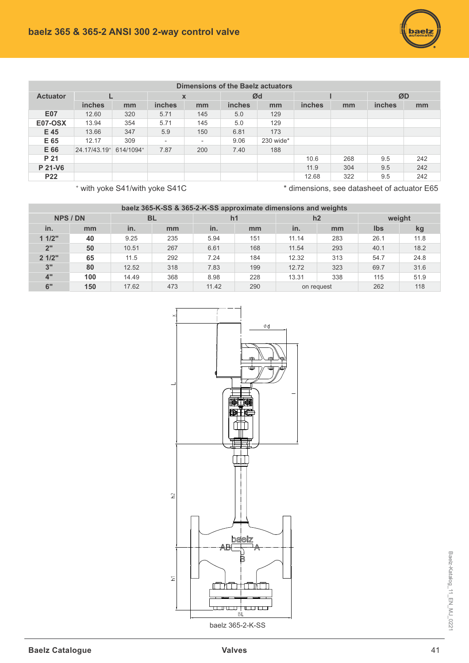| Dimensions of the Baelz actuators |              |           |                          |                          |               |           |        |     |               |     |
|-----------------------------------|--------------|-----------|--------------------------|--------------------------|---------------|-----------|--------|-----|---------------|-----|
| <b>Actuator</b>                   |              |           | X                        |                          | Ød            |           |        |     | ØD            |     |
|                                   | inches       | mm        | <b>inches</b>            | mm                       | <i>inches</i> | mm        | inches | mm  | <b>inches</b> | mm  |
| <b>E07</b>                        | 12.60        | 320       | 5.71                     | 145                      | 5.0           | 129       |        |     |               |     |
| <b>E07-OSX</b>                    | 13.94        | 354       | 5.71                     | 145                      | 5.0           | 129       |        |     |               |     |
| E 45                              | 13.66        | 347       | 5.9                      | 150                      | 6.81          | 173       |        |     |               |     |
| E 65                              | 12.17        | 309       | $\overline{\phantom{a}}$ | $\overline{\phantom{a}}$ | 9.06          | 230 wide* |        |     |               |     |
| E 66                              | 24.17/43.19+ | 614/1094+ | 7.87                     | 200                      | 7.40          | 188       |        |     |               |     |
| P 21                              |              |           |                          |                          |               |           | 10.6   | 268 | 9.5           | 242 |
| P 21-V6                           |              |           |                          |                          |               |           | 11.9   | 304 | 9.5           | 242 |
| <b>P22</b>                        |              |           |                          |                          |               |           | 12.68  | 322 | 9.5           | 242 |

 $^*$  with yoke S41/with yoke S41C

\* dimensions, see datasheet of actuator E65

| baelz 365-K-SS & 365-2-K-SS approximate dimensions and weights |     |           |     |                |     |            |     |        |      |  |  |
|----------------------------------------------------------------|-----|-----------|-----|----------------|-----|------------|-----|--------|------|--|--|
| <b>NPS / DN</b>                                                |     | <b>BL</b> |     | h <sub>1</sub> |     | h2         |     | weight |      |  |  |
| in.                                                            | mm  | in.       | mm  | in.            | mm  | in.        | mm  | Ibs    | kg   |  |  |
| 11/2"                                                          | 40  | 9.25      | 235 | 5.94           | 151 | 11.14      | 283 | 26.1   | 11.8 |  |  |
| 2"                                                             | 50  | 10.51     | 267 | 6.61           | 168 | 11.54      | 293 | 40.1   | 18.2 |  |  |
| 21/2"                                                          | 65  | 11.5      | 292 | 7.24           | 184 | 12.32      | 313 | 54.7   | 24.8 |  |  |
| 3"                                                             | 80  | 12.52     | 318 | 7.83           | 199 | 12.72      | 323 | 69.7   | 31.6 |  |  |
| 4"                                                             | 100 | 14.49     | 368 | 8.98           | 228 | 13.31      | 338 | 115    | 51.9 |  |  |
| 6"                                                             | 150 | 17.62     | 473 | 11.42          | 290 | on request |     | 262    | 118  |  |  |



Baelz-Katalog\_11\_EN\_MJ\_0221 Baelz-Katalog\_11\_EN\_MJ\_0221